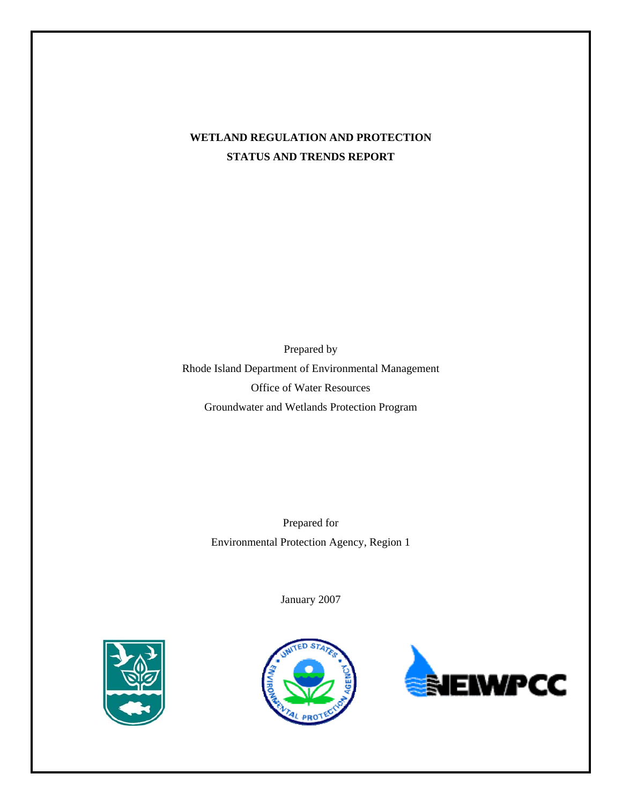# **WETLAND REGULATION AND PROTECTION STATUS AND TRENDS REPORT**

Prepared by Rhode Island Department of Environmental Management Office of Water Resources Groundwater and Wetlands Protection Program

> Prepared for Environmental Protection Agency, Region 1

> > January 2007





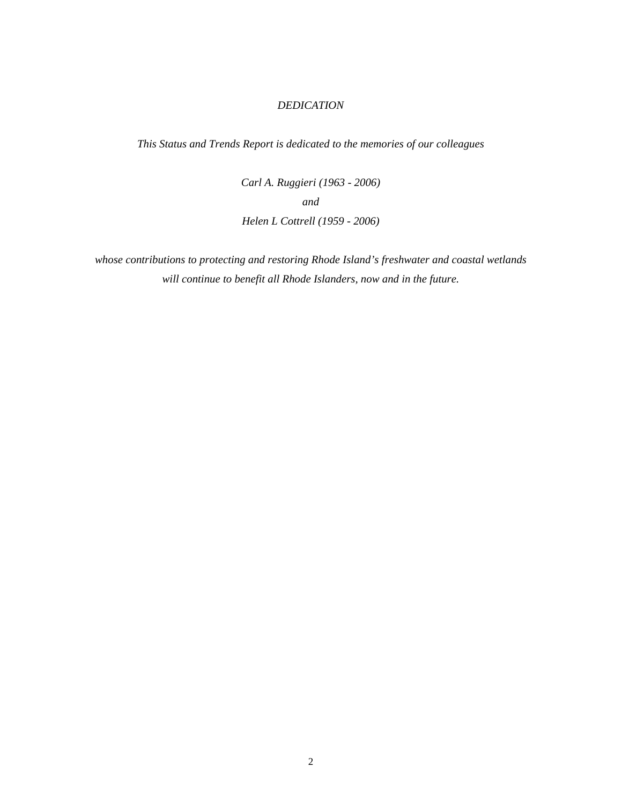#### *DEDICATION*

*This Status and Trends Report is dedicated to the memories of our colleagues*

*Carl A. Ruggieri (1963 - 2006) and Helen L Cottrell (1959 - 2006)*

*whose contributions to protecting and restoring Rhode Island's freshwater and coastal wetlands will continue to benefit all Rhode Islanders, now and in the future.*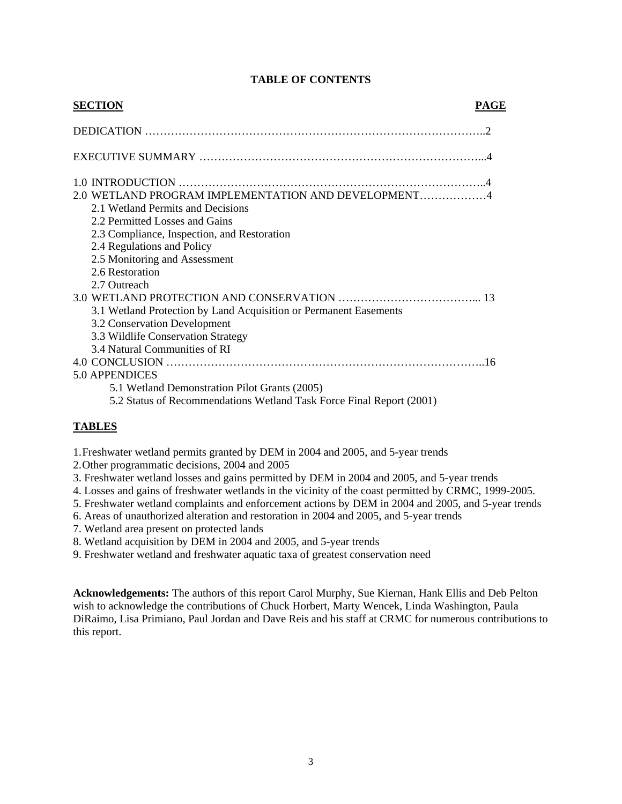| <b>SECTION</b>                                                       | PAGE |
|----------------------------------------------------------------------|------|
|                                                                      |      |
|                                                                      |      |
|                                                                      |      |
| 2.0 WETLAND PROGRAM IMPLEMENTATION AND DEVELOPMENT4                  |      |
| 2.1 Wetland Permits and Decisions                                    |      |
| 2.2 Permitted Losses and Gains                                       |      |
| 2.3 Compliance, Inspection, and Restoration                          |      |
| 2.4 Regulations and Policy                                           |      |
| 2.5 Monitoring and Assessment                                        |      |
| 2.6 Restoration                                                      |      |
| 2.7 Outreach                                                         |      |
|                                                                      |      |
| 3.1 Wetland Protection by Land Acquisition or Permanent Easements    |      |
| 3.2 Conservation Development                                         |      |
| 3.3 Wildlife Conservation Strategy                                   |      |
| 3.4 Natural Communities of RI                                        |      |
|                                                                      |      |
| 5.0 APPENDICES                                                       |      |
| 5.1 Wetland Demonstration Pilot Grants (2005)                        |      |
| 5.2 Status of Recommendations Wetland Task Force Final Report (2001) |      |

## **TABLE OF CONTENTS**

#### **TABLES**

- 1.Freshwater wetland permits granted by DEM in 2004 and 2005, and 5-year trends
- 2.Other programmatic decisions, 2004 and 2005
- 3. Freshwater wetland losses and gains permitted by DEM in 2004 and 2005, and 5-year trends
- 4. Losses and gains of freshwater wetlands in the vicinity of the coast permitted by CRMC, 1999-2005.
- 5. Freshwater wetland complaints and enforcement actions by DEM in 2004 and 2005, and 5-year trends
- 6. Areas of unauthorized alteration and restoration in 2004 and 2005, and 5-year trends
- 7. Wetland area present on protected lands
- 8. Wetland acquisition by DEM in 2004 and 2005, and 5-year trends
- 9. Freshwater wetland and freshwater aquatic taxa of greatest conservation need

**Acknowledgements:** The authors of this report Carol Murphy, Sue Kiernan, Hank Ellis and Deb Pelton wish to acknowledge the contributions of Chuck Horbert, Marty Wencek, Linda Washington, Paula DiRaimo, Lisa Primiano, Paul Jordan and Dave Reis and his staff at CRMC for numerous contributions to this report.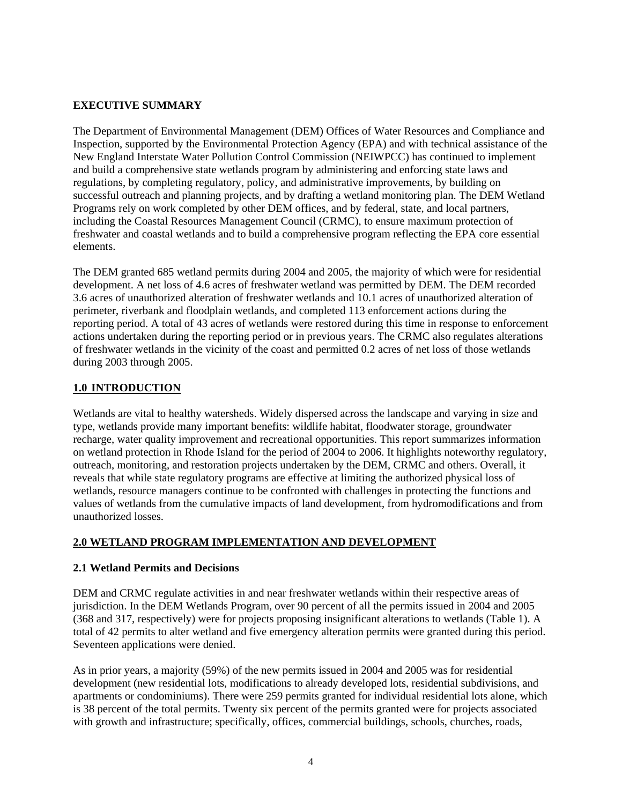#### **EXECUTIVE SUMMARY**

The Department of Environmental Management (DEM) Offices of Water Resources and Compliance and Inspection, supported by the Environmental Protection Agency (EPA) and with technical assistance of the New England Interstate Water Pollution Control Commission (NEIWPCC) has continued to implement and build a comprehensive state wetlands program by administering and enforcing state laws and regulations, by completing regulatory, policy, and administrative improvements, by building on successful outreach and planning projects, and by drafting a wetland monitoring plan. The DEM Wetland Programs rely on work completed by other DEM offices, and by federal, state, and local partners, including the Coastal Resources Management Council (CRMC), to ensure maximum protection of freshwater and coastal wetlands and to build a comprehensive program reflecting the EPA core essential elements.

The DEM granted 685 wetland permits during 2004 and 2005, the majority of which were for residential development. A net loss of 4.6 acres of freshwater wetland was permitted by DEM. The DEM recorded 3.6 acres of unauthorized alteration of freshwater wetlands and 10.1 acres of unauthorized alteration of perimeter, riverbank and floodplain wetlands, and completed 113 enforcement actions during the reporting period. A total of 43 acres of wetlands were restored during this time in response to enforcement actions undertaken during the reporting period or in previous years. The CRMC also regulates alterations of freshwater wetlands in the vicinity of the coast and permitted 0.2 acres of net loss of those wetlands during 2003 through 2005.

# **1.0 INTRODUCTION**

Wetlands are vital to healthy watersheds. Widely dispersed across the landscape and varying in size and type, wetlands provide many important benefits: wildlife habitat, floodwater storage, groundwater recharge, water quality improvement and recreational opportunities. This report summarizes information on wetland protection in Rhode Island for the period of 2004 to 2006. It highlights noteworthy regulatory, outreach, monitoring, and restoration projects undertaken by the DEM, CRMC and others. Overall, it reveals that while state regulatory programs are effective at limiting the authorized physical loss of wetlands, resource managers continue to be confronted with challenges in protecting the functions and values of wetlands from the cumulative impacts of land development, from hydromodifications and from unauthorized losses.

# **2.0 WETLAND PROGRAM IMPLEMENTATION AND DEVELOPMENT**

#### **2.1 Wetland Permits and Decisions**

DEM and CRMC regulate activities in and near freshwater wetlands within their respective areas of jurisdiction. In the DEM Wetlands Program, over 90 percent of all the permits issued in 2004 and 2005 (368 and 317, respectively) were for projects proposing insignificant alterations to wetlands (Table 1). A total of 42 permits to alter wetland and five emergency alteration permits were granted during this period. Seventeen applications were denied.

As in prior years, a majority (59%) of the new permits issued in 2004 and 2005 was for residential development (new residential lots, modifications to already developed lots, residential subdivisions, and apartments or condominiums). There were 259 permits granted for individual residential lots alone, which is 38 percent of the total permits. Twenty six percent of the permits granted were for projects associated with growth and infrastructure; specifically, offices, commercial buildings, schools, churches, roads,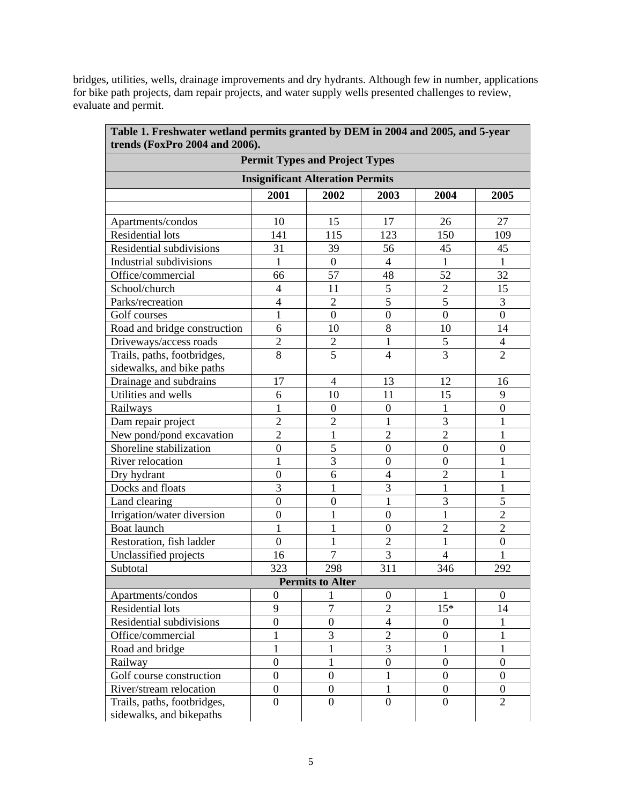bridges, utilities, wells, drainage improvements and dry hydrants. Although few in number, applications for bike path projects, dam repair projects, and water supply wells presented challenges to review, evaluate and permit.

|                                         |                  | <b>Permit Types and Project Types</b> |                  |                  |                  |  |
|-----------------------------------------|------------------|---------------------------------------|------------------|------------------|------------------|--|
| <b>Insignificant Alteration Permits</b> |                  |                                       |                  |                  |                  |  |
|                                         | 2001             | 2002                                  | 2003             | 2004             | 2005             |  |
|                                         |                  |                                       |                  |                  |                  |  |
| Apartments/condos                       | 10               | 15                                    | 17               | 26               | 27               |  |
| <b>Residential lots</b>                 | 141              | 115                                   | 123              | 150              | 109              |  |
| Residential subdivisions                | 31               | 39                                    | 56               | 45               | 45               |  |
| Industrial subdivisions                 | $\mathbf{1}$     | $\boldsymbol{0}$                      | $\overline{4}$   | 1                | 1                |  |
| Office/commercial                       | 66               | 57                                    | 48               | 52               | 32               |  |
| School/church                           | $\overline{4}$   | 11                                    | $\mathfrak s$    | $\mathbf{2}$     | 15               |  |
| Parks/recreation                        | $\overline{4}$   | $\overline{2}$                        | $\overline{5}$   | 5                | 3                |  |
| Golf courses                            | $\mathbf{1}$     | $\boldsymbol{0}$                      | $\boldsymbol{0}$ | $\boldsymbol{0}$ | $\boldsymbol{0}$ |  |
| Road and bridge construction            | 6                | 10                                    | 8                | 10               | 14               |  |
| Driveways/access roads                  | $\overline{2}$   | $\overline{c}$                        | $\mathbf{1}$     | $\mathfrak s$    | $\overline{4}$   |  |
| Trails, paths, footbridges,             | 8                | $\overline{5}$                        | $\overline{4}$   | $\overline{3}$   | $\overline{2}$   |  |
| sidewalks, and bike paths               |                  |                                       |                  |                  |                  |  |
| Drainage and subdrains                  | 17               | $\overline{4}$                        | 13               | 12               | 16               |  |
| Utilities and wells                     | 6                | 10                                    | 11               | 15               | 9                |  |
| Railways                                | $\mathbf{1}$     | $\boldsymbol{0}$                      | $\boldsymbol{0}$ | 1                | $\boldsymbol{0}$ |  |
| Dam repair project                      | $\overline{2}$   | $\overline{2}$                        | $\mathbf{1}$     | 3                | $\mathbf{1}$     |  |
| New pond/pond excavation                | $\overline{2}$   | $\mathbf{1}$                          | $\mathfrak{2}$   | $\mathbf 2$      | $\mathbf{1}$     |  |
| Shoreline stabilization                 | $\boldsymbol{0}$ | 5                                     | $\boldsymbol{0}$ | $\boldsymbol{0}$ | $\boldsymbol{0}$ |  |
| River relocation                        | $\mathbf{1}$     | 3                                     | $\boldsymbol{0}$ | $\boldsymbol{0}$ | 1                |  |
| Dry hydrant                             | $\overline{0}$   | 6                                     | $\overline{4}$   | $\overline{2}$   | 1                |  |
| Docks and floats                        | 3                | $\mathbf{1}$                          | 3                | $\mathbf{1}$     | $\mathbf{1}$     |  |
| Land clearing                           | $\overline{0}$   | $\boldsymbol{0}$                      | $\mathbf{1}$     | 3                | 5                |  |
| Irrigation/water diversion              | $\boldsymbol{0}$ | $\mathbf{1}$                          | $\boldsymbol{0}$ | $\mathbf{1}$     | $\overline{2}$   |  |
| Boat launch                             | $\mathbf{1}$     | $\mathbf{1}$                          | $\boldsymbol{0}$ | $\overline{2}$   | $\overline{2}$   |  |
| Restoration, fish ladder                | $\overline{0}$   | $\mathbf{1}$                          | $\overline{2}$   | $\mathbf{1}$     | $\overline{0}$   |  |
| Unclassified projects                   | 16               | $\tau$                                | 3                | $\overline{4}$   | $\mathbf{1}$     |  |
| Subtotal                                | 323              | 298                                   | 311              | 346              | 292              |  |
|                                         |                  | <b>Permits to Alter</b>               |                  |                  |                  |  |
| Apartments/condos                       | $\boldsymbol{0}$ | 1                                     | $\boldsymbol{0}$ | 1                | $\boldsymbol{0}$ |  |
| Residential lots                        | 9                | $\overline{7}$                        | $\overline{2}$   | $15*$            | 14               |  |
| Residential subdivisions                | $\boldsymbol{0}$ | $\boldsymbol{0}$                      | $\overline{4}$   | $\boldsymbol{0}$ | 1                |  |
| Office/commercial                       | 1                | 3                                     | $\overline{2}$   | $\boldsymbol{0}$ | 1                |  |
| Road and bridge                         | 1                | 1                                     | 3                | 1                | 1                |  |
| Railway                                 | $\boldsymbol{0}$ | $\mathbf{1}$                          | $\boldsymbol{0}$ | $\boldsymbol{0}$ | $\boldsymbol{0}$ |  |
| Golf course construction                | $\boldsymbol{0}$ | $\overline{0}$                        | $\mathbf{1}$     | $\boldsymbol{0}$ | $\boldsymbol{0}$ |  |
| River/stream relocation                 | $\overline{0}$   | $\overline{0}$                        | $\mathbf{1}$     | $\boldsymbol{0}$ | $\boldsymbol{0}$ |  |
| Trails, paths, footbridges,             | $\boldsymbol{0}$ | $\boldsymbol{0}$                      | $\boldsymbol{0}$ | $\boldsymbol{0}$ | $\overline{2}$   |  |
| sidewalks, and bikepaths                |                  |                                       |                  |                  |                  |  |

**Table 1. Freshwater wetland permits granted by DEM in 2004 and 2005, and 5-year**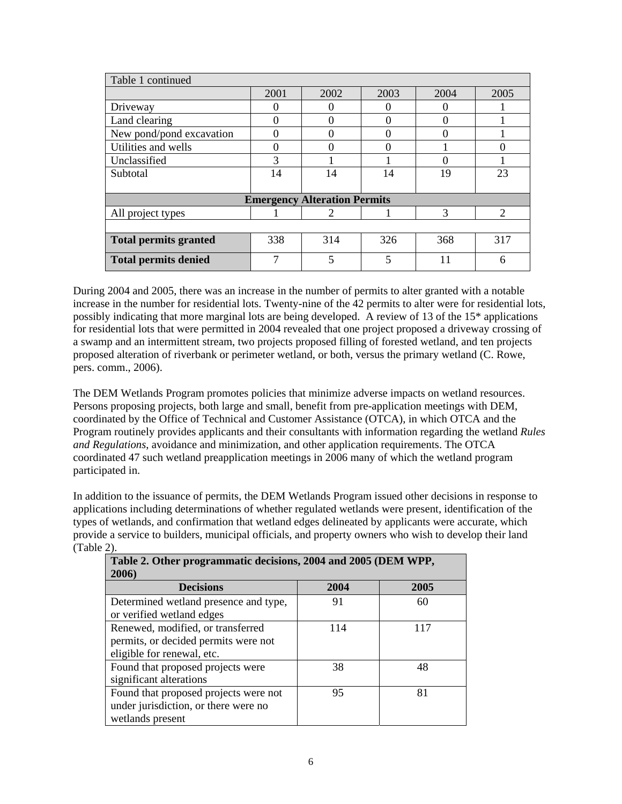| Table 1 continued                   |      |      |      |      |      |
|-------------------------------------|------|------|------|------|------|
|                                     | 2001 | 2002 | 2003 | 2004 | 2005 |
| Driveway                            |      |      |      |      |      |
| Land clearing                       |      |      |      |      |      |
| New pond/pond excavation            |      |      |      | 0    |      |
| Utilities and wells                 |      |      |      |      |      |
| Unclassified                        | 3    |      |      | 0    |      |
| Subtotal                            | 14   | 14   | 14   | 19   | 23   |
|                                     |      |      |      |      |      |
| <b>Emergency Alteration Permits</b> |      |      |      |      |      |
| All project types                   |      | 2    |      | 3    | 2    |
|                                     |      |      |      |      |      |
| <b>Total permits granted</b>        | 338  | 314  | 326  | 368  | 317  |
| <b>Total permits denied</b>         | 7    | 5    | 5    | 11   | 6    |

During 2004 and 2005, there was an increase in the number of permits to alter granted with a notable increase in the number for residential lots. Twenty-nine of the 42 permits to alter were for residential lots, possibly indicating that more marginal lots are being developed. A review of 13 of the 15\* applications for residential lots that were permitted in 2004 revealed that one project proposed a driveway crossing of a swamp and an intermittent stream, two projects proposed filling of forested wetland, and ten projects proposed alteration of riverbank or perimeter wetland, or both, versus the primary wetland (C. Rowe, pers. comm., 2006).

The DEM Wetlands Program promotes policies that minimize adverse impacts on wetland resources. Persons proposing projects, both large and small, benefit from pre-application meetings with DEM, coordinated by the Office of Technical and Customer Assistance (OTCA), in which OTCA and the Program routinely provides applicants and their consultants with information regarding the wetland *Rules and Regulations*, avoidance and minimization, and other application requirements. The OTCA coordinated 47 such wetland preapplication meetings in 2006 many of which the wetland program participated in.

In addition to the issuance of permits, the DEM Wetlands Program issued other decisions in response to applications including determinations of whether regulated wetlands were present, identification of the types of wetlands, and confirmation that wetland edges delineated by applicants were accurate, which provide a service to builders, municipal officials, and property owners who wish to develop their land (Table 2).

| Table 2. Other programmatic decisions, 2004 and 2005 (DEM WPP,<br>2006) |      |      |
|-------------------------------------------------------------------------|------|------|
| <b>Decisions</b>                                                        | 2004 | 2005 |
| Determined wetland presence and type,                                   | 91   | 60   |
| or verified wetland edges                                               |      |      |
| Renewed, modified, or transferred                                       | 114  | 117  |
| permits, or decided permits were not                                    |      |      |
| eligible for renewal, etc.                                              |      |      |
| Found that proposed projects were                                       | 38   | 48   |
| significant alterations                                                 |      |      |
| Found that proposed projects were not                                   | 95   | 81   |
| under jurisdiction, or there were no                                    |      |      |
| wetlands present                                                        |      |      |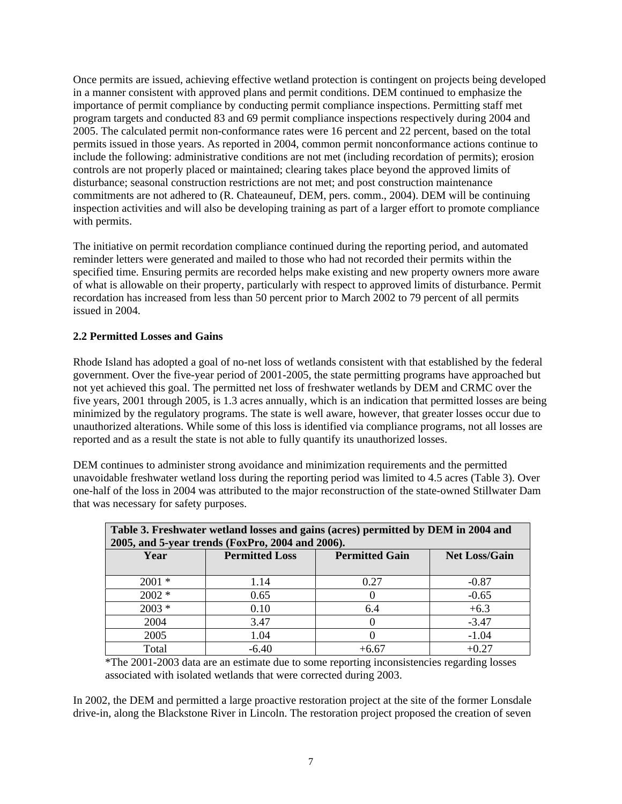Once permits are issued, achieving effective wetland protection is contingent on projects being developed in a manner consistent with approved plans and permit conditions. DEM continued to emphasize the importance of permit compliance by conducting permit compliance inspections. Permitting staff met program targets and conducted 83 and 69 permit compliance inspections respectively during 2004 and 2005. The calculated permit non-conformance rates were 16 percent and 22 percent, based on the total permits issued in those years. As reported in 2004, common permit nonconformance actions continue to include the following: administrative conditions are not met (including recordation of permits); erosion controls are not properly placed or maintained; clearing takes place beyond the approved limits of disturbance; seasonal construction restrictions are not met; and post construction maintenance commitments are not adhered to (R. Chateauneuf, DEM, pers. comm., 2004). DEM will be continuing inspection activities and will also be developing training as part of a larger effort to promote compliance with permits.

The initiative on permit recordation compliance continued during the reporting period, and automated reminder letters were generated and mailed to those who had not recorded their permits within the specified time. Ensuring permits are recorded helps make existing and new property owners more aware of what is allowable on their property, particularly with respect to approved limits of disturbance. Permit recordation has increased from less than 50 percent prior to March 2002 to 79 percent of all permits issued in 2004.

## **2.2 Permitted Losses and Gains**

Rhode Island has adopted a goal of no-net loss of wetlands consistent with that established by the federal government. Over the five-year period of 2001-2005, the state permitting programs have approached but not yet achieved this goal. The permitted net loss of freshwater wetlands by DEM and CRMC over the five years, 2001 through 2005, is 1.3 acres annually, which is an indication that permitted losses are being minimized by the regulatory programs. The state is well aware, however, that greater losses occur due to unauthorized alterations. While some of this loss is identified via compliance programs, not all losses are reported and as a result the state is not able to fully quantify its unauthorized losses.

DEM continues to administer strong avoidance and minimization requirements and the permitted unavoidable freshwater wetland loss during the reporting period was limited to 4.5 acres (Table 3). Over one-half of the loss in 2004 was attributed to the major reconstruction of the state-owned Stillwater Dam that was necessary for safety purposes.

| Table 3. Freshwater wetland losses and gains (acres) permitted by DEM in 2004 and |                                                  |                       |                      |
|-----------------------------------------------------------------------------------|--------------------------------------------------|-----------------------|----------------------|
|                                                                                   | 2005, and 5-year trends (FoxPro, 2004 and 2006). |                       |                      |
| Year                                                                              | <b>Permitted Loss</b>                            | <b>Permitted Gain</b> | <b>Net Loss/Gain</b> |
|                                                                                   |                                                  |                       |                      |
| $2001 *$                                                                          | 1.14                                             | 0.27                  | $-0.87$              |
| $2002 *$                                                                          | 0.65                                             |                       | $-0.65$              |
| $2003 *$                                                                          | 0.10                                             | 6.4                   | $+6.3$               |
| 2004                                                                              | 3.47                                             |                       | $-3.47$              |
| 2005                                                                              | 1.04                                             |                       | $-1.04$              |
| Total                                                                             | $-6.40$                                          | $+6.67$               | $+0.27$              |

\*The 2001-2003 data are an estimate due to some reporting inconsistencies regarding losses associated with isolated wetlands that were corrected during 2003.

In 2002, the DEM and permitted a large proactive restoration project at the site of the former Lonsdale drive-in, along the Blackstone River in Lincoln. The restoration project proposed the creation of seven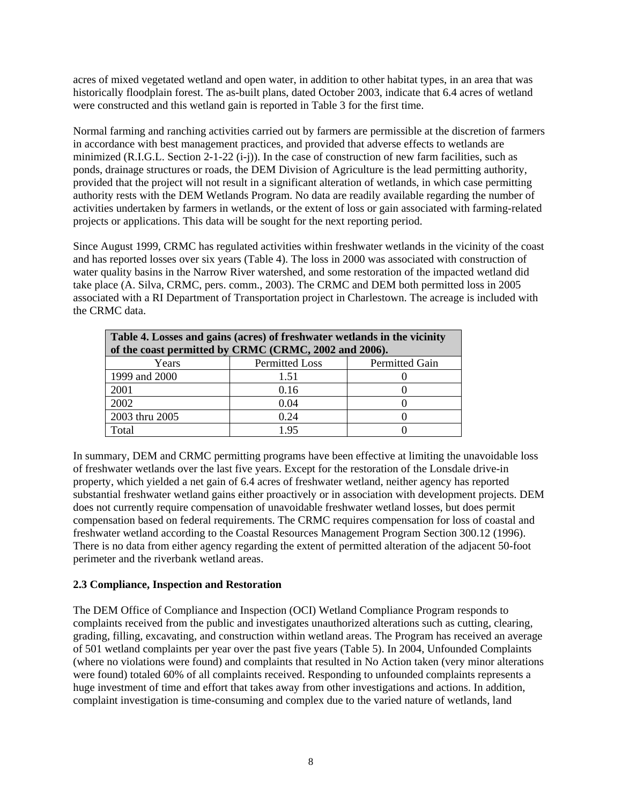acres of mixed vegetated wetland and open water, in addition to other habitat types, in an area that was historically floodplain forest. The as-built plans, dated October 2003, indicate that 6.4 acres of wetland were constructed and this wetland gain is reported in Table 3 for the first time.

Normal farming and ranching activities carried out by farmers are permissible at the discretion of farmers in accordance with best management practices, and provided that adverse effects to wetlands are minimized (R.I.G.L. Section 2-1-22 (i-j)). In the case of construction of new farm facilities, such as ponds, drainage structures or roads, the DEM Division of Agriculture is the lead permitting authority, provided that the project will not result in a significant alteration of wetlands, in which case permitting authority rests with the DEM Wetlands Program. No data are readily available regarding the number of activities undertaken by farmers in wetlands, or the extent of loss or gain associated with farming-related projects or applications. This data will be sought for the next reporting period.

Since August 1999, CRMC has regulated activities within freshwater wetlands in the vicinity of the coast and has reported losses over six years (Table 4). The loss in 2000 was associated with construction of water quality basins in the Narrow River watershed, and some restoration of the impacted wetland did take place (A. Silva, CRMC, pers. comm., 2003). The CRMC and DEM both permitted loss in 2005 associated with a RI Department of Transportation project in Charlestown. The acreage is included with the CRMC data.

| Table 4. Losses and gains (acres) of freshwater wetlands in the vicinity<br>of the coast permitted by CRMC (CRMC, 2002 and 2006). |                       |                       |  |  |  |
|-----------------------------------------------------------------------------------------------------------------------------------|-----------------------|-----------------------|--|--|--|
|                                                                                                                                   |                       |                       |  |  |  |
| Years                                                                                                                             | <b>Permitted Loss</b> | <b>Permitted Gain</b> |  |  |  |
| 1999 and 2000                                                                                                                     | 1.51                  |                       |  |  |  |
| 2001                                                                                                                              | 0.16                  |                       |  |  |  |
| 2002                                                                                                                              | 0.04                  |                       |  |  |  |
| 2003 thru 2005                                                                                                                    | 0.24                  |                       |  |  |  |
| Total                                                                                                                             | 1.95                  |                       |  |  |  |

In summary, DEM and CRMC permitting programs have been effective at limiting the unavoidable loss of freshwater wetlands over the last five years. Except for the restoration of the Lonsdale drive-in property, which yielded a net gain of 6.4 acres of freshwater wetland, neither agency has reported substantial freshwater wetland gains either proactively or in association with development projects. DEM does not currently require compensation of unavoidable freshwater wetland losses, but does permit compensation based on federal requirements. The CRMC requires compensation for loss of coastal and freshwater wetland according to the Coastal Resources Management Program Section 300.12 (1996). There is no data from either agency regarding the extent of permitted alteration of the adjacent 50-foot perimeter and the riverbank wetland areas.

#### **2.3 Compliance, Inspection and Restoration**

The DEM Office of Compliance and Inspection (OCI) Wetland Compliance Program responds to complaints received from the public and investigates unauthorized alterations such as cutting, clearing, grading, filling, excavating, and construction within wetland areas. The Program has received an average of 501 wetland complaints per year over the past five years (Table 5). In 2004, Unfounded Complaints (where no violations were found) and complaints that resulted in No Action taken (very minor alterations were found) totaled 60% of all complaints received. Responding to unfounded complaints represents a huge investment of time and effort that takes away from other investigations and actions. In addition, complaint investigation is time-consuming and complex due to the varied nature of wetlands, land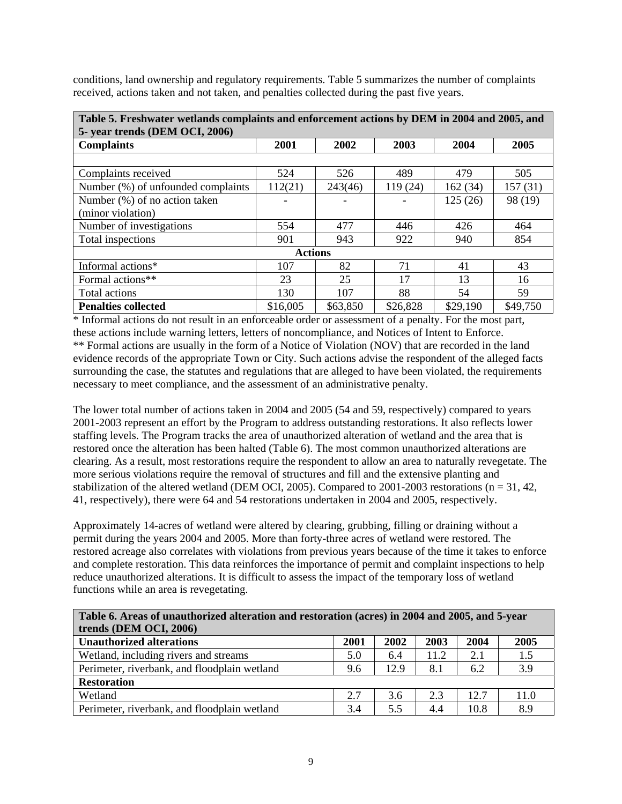conditions, land ownership and regulatory requirements. Table 5 summarizes the number of complaints received, actions taken and not taken, and penalties collected during the past five years.

| Table 5. Freshwater wetlands complaints and enforcement actions by DEM in 2004 and 2005, and |                |          |          |          |          |
|----------------------------------------------------------------------------------------------|----------------|----------|----------|----------|----------|
| 5- year trends (DEM OCI, 2006)                                                               |                |          |          |          |          |
| <b>Complaints</b>                                                                            | 2001           | 2002     | 2003     | 2004     | 2005     |
|                                                                                              |                |          |          |          |          |
| Complaints received                                                                          | 524            | 526      | 489      | 479      | 505      |
| Number (%) of unfounded complaints                                                           | 112(21)        | 243(46)  | 119 (24) | 162(34)  | 157(31)  |
| Number (%) of no action taken                                                                |                |          |          | 125(26)  | 98 (19)  |
| (minor violation)                                                                            |                |          |          |          |          |
| Number of investigations                                                                     | 554            | 477      | 446      | 426      | 464      |
| Total inspections                                                                            | 901            | 943      | 922      | 940      | 854      |
|                                                                                              | <b>Actions</b> |          |          |          |          |
| Informal actions*                                                                            | 107            | 82       | 71       | 41       | 43       |
| Formal actions**                                                                             | 23             | 25       | 17       | 13       | 16       |
| Total actions                                                                                | 130            | 107      | 88       | 54       | 59       |
| <b>Penalties collected</b>                                                                   | \$16,005       | \$63,850 | \$26,828 | \$29,190 | \$49,750 |

\* Informal actions do not result in an enforceable order or assessment of a penalty. For the most part, these actions include warning letters, letters of noncompliance, and Notices of Intent to Enforce. \*\* Formal actions are usually in the form of a Notice of Violation (NOV) that are recorded in the land evidence records of the appropriate Town or City. Such actions advise the respondent of the alleged facts surrounding the case, the statutes and regulations that are alleged to have been violated, the requirements necessary to meet compliance, and the assessment of an administrative penalty.

The lower total number of actions taken in 2004 and 2005 (54 and 59, respectively) compared to years 2001-2003 represent an effort by the Program to address outstanding restorations. It also reflects lower staffing levels. The Program tracks the area of unauthorized alteration of wetland and the area that is restored once the alteration has been halted (Table 6). The most common unauthorized alterations are clearing. As a result, most restorations require the respondent to allow an area to naturally revegetate. The more serious violations require the removal of structures and fill and the extensive planting and stabilization of the altered wetland (DEM OCI, 2005). Compared to 2001-2003 restorations ( $n = 31, 42,$ 41, respectively), there were 64 and 54 restorations undertaken in 2004 and 2005, respectively.

Approximately 14-acres of wetland were altered by clearing, grubbing, filling or draining without a permit during the years 2004 and 2005. More than forty-three acres of wetland were restored. The restored acreage also correlates with violations from previous years because of the time it takes to enforce and complete restoration. This data reinforces the importance of permit and complaint inspections to help reduce unauthorized alterations. It is difficult to assess the impact of the temporary loss of wetland functions while an area is revegetating.

| Table 6. Areas of unauthorized alteration and restoration (acres) in 2004 and 2005, and 5-year<br>trends (DEM OCI, 2006) |      |      |      |      |      |
|--------------------------------------------------------------------------------------------------------------------------|------|------|------|------|------|
| <b>Unauthorized alterations</b>                                                                                          | 2001 | 2002 | 2003 | 2004 | 2005 |
| Wetland, including rivers and streams                                                                                    | 5.0  | 6.4  | 11.2 | 2.1  | 1.5  |
| Perimeter, riverbank, and floodplain wetland                                                                             | 9.6  | 12.9 | 8.1  | 6.2  | 3.9  |
| <b>Restoration</b>                                                                                                       |      |      |      |      |      |
| Wetland                                                                                                                  | 2.7  | 3.6  | 2.3  | 12.7 | 11.0 |
| Perimeter, riverbank, and floodplain wetland                                                                             | 3.4  | 5.5  | 4.4  | 10.8 | 8.9  |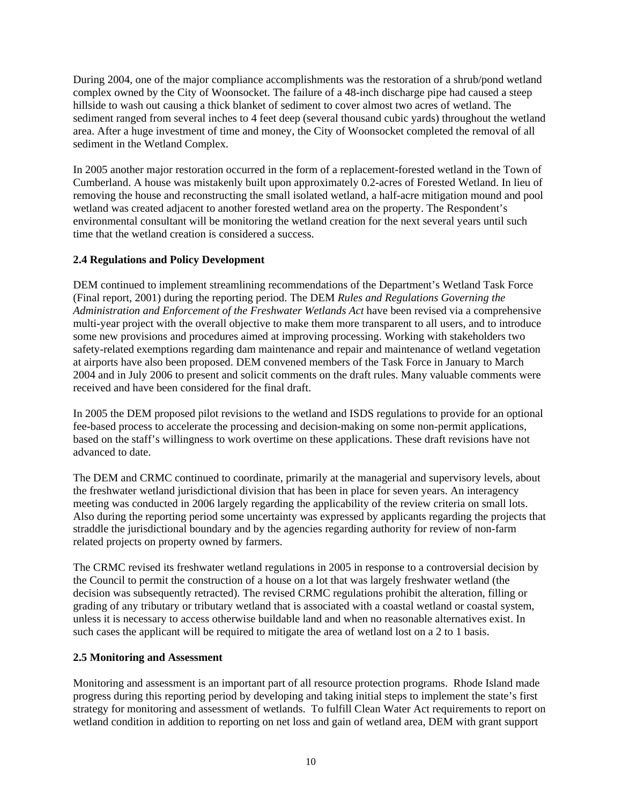During 2004, one of the major compliance accomplishments was the restoration of a shrub/pond wetland complex owned by the City of Woonsocket. The failure of a 48-inch discharge pipe had caused a steep hillside to wash out causing a thick blanket of sediment to cover almost two acres of wetland. The sediment ranged from several inches to 4 feet deep (several thousand cubic yards) throughout the wetland area. After a huge investment of time and money, the City of Woonsocket completed the removal of all sediment in the Wetland Complex.

In 2005 another major restoration occurred in the form of a replacement-forested wetland in the Town of Cumberland. A house was mistakenly built upon approximately 0.2-acres of Forested Wetland. In lieu of removing the house and reconstructing the small isolated wetland, a half-acre mitigation mound and pool wetland was created adjacent to another forested wetland area on the property. The Respondent's environmental consultant will be monitoring the wetland creation for the next several years until such time that the wetland creation is considered a success.

## **2.4 Regulations and Policy Development**

DEM continued to implement streamlining recommendations of the Department's Wetland Task Force (Final report, 2001) during the reporting period. The DEM *Rules and Regulations Governing the Administration and Enforcement of the Freshwater Wetlands Act* have been revised via a comprehensive multi-year project with the overall objective to make them more transparent to all users, and to introduce some new provisions and procedures aimed at improving processing. Working with stakeholders two safety-related exemptions regarding dam maintenance and repair and maintenance of wetland vegetation at airports have also been proposed. DEM convened members of the Task Force in January to March 2004 and in July 2006 to present and solicit comments on the draft rules. Many valuable comments were received and have been considered for the final draft.

In 2005 the DEM proposed pilot revisions to the wetland and ISDS regulations to provide for an optional fee-based process to accelerate the processing and decision-making on some non-permit applications, based on the staff's willingness to work overtime on these applications. These draft revisions have not advanced to date.

The DEM and CRMC continued to coordinate, primarily at the managerial and supervisory levels, about the freshwater wetland jurisdictional division that has been in place for seven years. An interagency meeting was conducted in 2006 largely regarding the applicability of the review criteria on small lots. Also during the reporting period some uncertainty was expressed by applicants regarding the projects that straddle the jurisdictional boundary and by the agencies regarding authority for review of non-farm related projects on property owned by farmers.

The CRMC revised its freshwater wetland regulations in 2005 in response to a controversial decision by the Council to permit the construction of a house on a lot that was largely freshwater wetland (the decision was subsequently retracted). The revised CRMC regulations prohibit the alteration, filling or grading of any tributary or tributary wetland that is associated with a coastal wetland or coastal system, unless it is necessary to access otherwise buildable land and when no reasonable alternatives exist. In such cases the applicant will be required to mitigate the area of wetland lost on a 2 to 1 basis.

#### **2.5 Monitoring and Assessment**

Monitoring and assessment is an important part of all resource protection programs. Rhode Island made progress during this reporting period by developing and taking initial steps to implement the state's first strategy for monitoring and assessment of wetlands. To fulfill Clean Water Act requirements to report on wetland condition in addition to reporting on net loss and gain of wetland area, DEM with grant support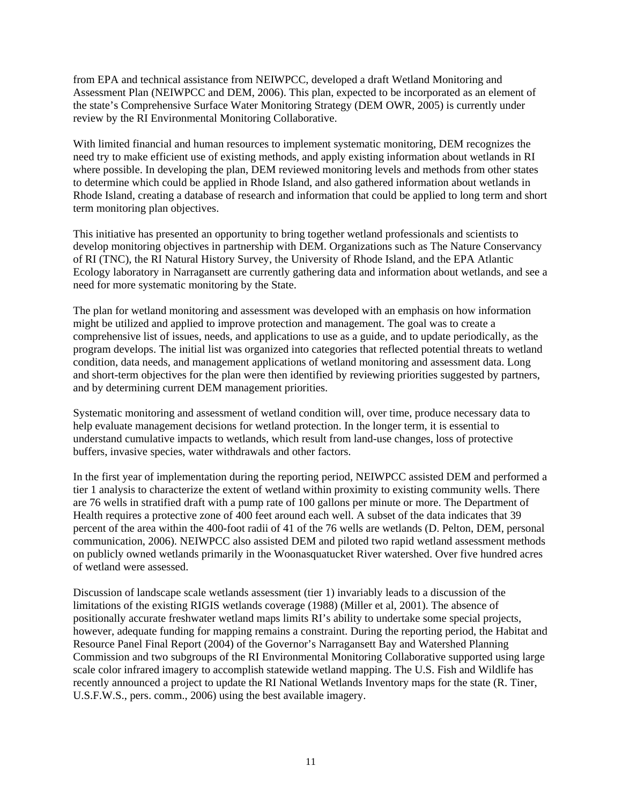from EPA and technical assistance from NEIWPCC, developed a draft Wetland Monitoring and Assessment Plan (NEIWPCC and DEM, 2006). This plan, expected to be incorporated as an element of the state's Comprehensive Surface Water Monitoring Strategy (DEM OWR, 2005) is currently under review by the RI Environmental Monitoring Collaborative.

With limited financial and human resources to implement systematic monitoring, DEM recognizes the need try to make efficient use of existing methods, and apply existing information about wetlands in RI where possible. In developing the plan, DEM reviewed monitoring levels and methods from other states to determine which could be applied in Rhode Island, and also gathered information about wetlands in Rhode Island, creating a database of research and information that could be applied to long term and short term monitoring plan objectives.

This initiative has presented an opportunity to bring together wetland professionals and scientists to develop monitoring objectives in partnership with DEM. Organizations such as The Nature Conservancy of RI (TNC), the RI Natural History Survey, the University of Rhode Island, and the EPA Atlantic Ecology laboratory in Narragansett are currently gathering data and information about wetlands, and see a need for more systematic monitoring by the State.

The plan for wetland monitoring and assessment was developed with an emphasis on how information might be utilized and applied to improve protection and management. The goal was to create a comprehensive list of issues, needs, and applications to use as a guide, and to update periodically, as the program develops. The initial list was organized into categories that reflected potential threats to wetland condition, data needs, and management applications of wetland monitoring and assessment data. Long and short-term objectives for the plan were then identified by reviewing priorities suggested by partners, and by determining current DEM management priorities.

Systematic monitoring and assessment of wetland condition will, over time, produce necessary data to help evaluate management decisions for wetland protection. In the longer term, it is essential to understand cumulative impacts to wetlands, which result from land-use changes, loss of protective buffers, invasive species, water withdrawals and other factors.

In the first year of implementation during the reporting period, NEIWPCC assisted DEM and performed a tier 1 analysis to characterize the extent of wetland within proximity to existing community wells. There are 76 wells in stratified draft with a pump rate of 100 gallons per minute or more. The Department of Health requires a protective zone of 400 feet around each well. A subset of the data indicates that 39 percent of the area within the 400-foot radii of 41 of the 76 wells are wetlands (D. Pelton, DEM, personal communication, 2006). NEIWPCC also assisted DEM and piloted two rapid wetland assessment methods on publicly owned wetlands primarily in the Woonasquatucket River watershed. Over five hundred acres of wetland were assessed.

Discussion of landscape scale wetlands assessment (tier 1) invariably leads to a discussion of the limitations of the existing RIGIS wetlands coverage (1988) (Miller et al, 2001). The absence of positionally accurate freshwater wetland maps limits RI's ability to undertake some special projects, however, adequate funding for mapping remains a constraint. During the reporting period, the Habitat and Resource Panel Final Report (2004) of the Governor's Narragansett Bay and Watershed Planning Commission and two subgroups of the RI Environmental Monitoring Collaborative supported using large scale color infrared imagery to accomplish statewide wetland mapping. The U.S. Fish and Wildlife has recently announced a project to update the RI National Wetlands Inventory maps for the state (R. Tiner, U.S.F.W.S., pers. comm., 2006) using the best available imagery.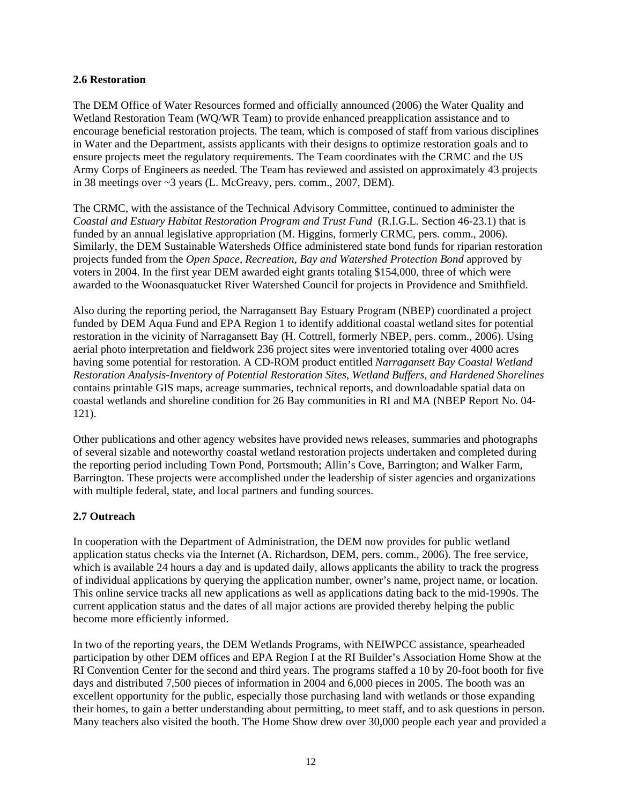#### **2.6 Restoration**

The DEM Office of Water Resources formed and officially announced (2006) the Water Quality and Wetland Restoration Team (WQ/WR Team) to provide enhanced preapplication assistance and to encourage beneficial restoration projects. The team, which is composed of staff from various disciplines in Water and the Department, assists applicants with their designs to optimize restoration goals and to ensure projects meet the regulatory requirements. The Team coordinates with the CRMC and the US Army Corps of Engineers as needed. The Team has reviewed and assisted on approximately 43 projects in 38 meetings over ~3 years (L. McGreavy, pers. comm., 2007, DEM).

The CRMC, with the assistance of the Technical Advisory Committee, continued to administer the *Coastal and Estuary Habitat Restoration Program and Trust Fund* (R.I.G.L. Section 46-23.1) that is funded by an annual legislative appropriation (M. Higgins, formerly CRMC, pers. comm., 2006). Similarly, the DEM Sustainable Watersheds Office administered state bond funds for riparian restoration projects funded from the *Open Space, Recreation, Bay and Watershed Protection Bond* approved by voters in 2004. In the first year DEM awarded eight grants totaling \$154,000, three of which were awarded to the Woonasquatucket River Watershed Council for projects in Providence and Smithfield.

Also during the reporting period, the Narragansett Bay Estuary Program (NBEP) coordinated a project funded by DEM Aqua Fund and EPA Region 1 to identify additional coastal wetland sites for potential restoration in the vicinity of Narragansett Bay (H. Cottrell, formerly NBEP, pers. comm., 2006). Using aerial photo interpretation and fieldwork 236 project sites were inventoried totaling over 4000 acres having some potential for restoration. A CD-ROM product entitled *Narragansett Bay Coastal Wetland Restoration Analysis-Inventory of Potential Restoration Sites, Wetland Buffers, and Hardened Shorelines* contains printable GIS maps, acreage summaries, technical reports, and downloadable spatial data on coastal wetlands and shoreline condition for 26 Bay communities in RI and MA (NBEP Report No. 04- 121).

Other publications and other agency websites have provided news releases, summaries and photographs of several sizable and noteworthy coastal wetland restoration projects undertaken and completed during the reporting period including Town Pond, Portsmouth; Allin's Cove, Barrington; and Walker Farm, Barrington. These projects were accomplished under the leadership of sister agencies and organizations with multiple federal, state, and local partners and funding sources.

#### **2.7 Outreach**

In cooperation with the Department of Administration, the DEM now provides for public wetland application status checks via the Internet (A. Richardson, DEM, pers. comm., 2006). The free service, which is available 24 hours a day and is updated daily, allows applicants the ability to track the progress of individual applications by querying the application number, owner's name, project name, or location. This online service tracks all new applications as well as applications dating back to the mid-1990s. The current application status and the dates of all major actions are provided thereby helping the public become more efficiently informed.

In two of the reporting years, the DEM Wetlands Programs, with NEIWPCC assistance, spearheaded participation by other DEM offices and EPA Region I at the RI Builder's Association Home Show at the RI Convention Center for the second and third years. The programs staffed a 10 by 20-foot booth for five days and distributed 7,500 pieces of information in 2004 and 6,000 pieces in 2005. The booth was an excellent opportunity for the public, especially those purchasing land with wetlands or those expanding their homes, to gain a better understanding about permitting, to meet staff, and to ask questions in person. Many teachers also visited the booth. The Home Show drew over 30,000 people each year and provided a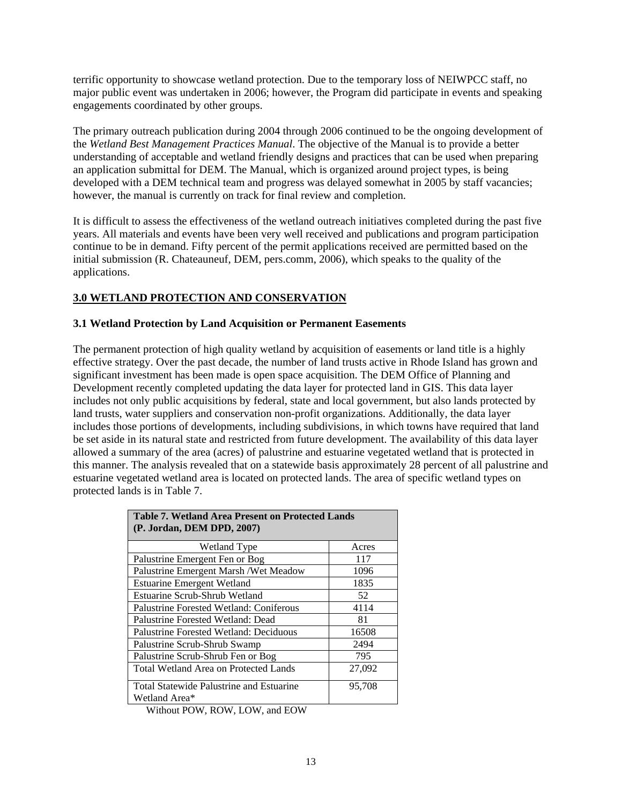terrific opportunity to showcase wetland protection. Due to the temporary loss of NEIWPCC staff, no major public event was undertaken in 2006; however, the Program did participate in events and speaking engagements coordinated by other groups.

The primary outreach publication during 2004 through 2006 continued to be the ongoing development of the *Wetland Best Management Practices Manual*. The objective of the Manual is to provide a better understanding of acceptable and wetland friendly designs and practices that can be used when preparing an application submittal for DEM. The Manual, which is organized around project types, is being developed with a DEM technical team and progress was delayed somewhat in 2005 by staff vacancies; however, the manual is currently on track for final review and completion.

It is difficult to assess the effectiveness of the wetland outreach initiatives completed during the past five years. All materials and events have been very well received and publications and program participation continue to be in demand. Fifty percent of the permit applications received are permitted based on the initial submission (R. Chateauneuf, DEM, pers.comm, 2006), which speaks to the quality of the applications.

# **3.0 WETLAND PROTECTION AND CONSERVATION**

#### **3.1 Wetland Protection by Land Acquisition or Permanent Easements**

The permanent protection of high quality wetland by acquisition of easements or land title is a highly effective strategy. Over the past decade, the number of land trusts active in Rhode Island has grown and significant investment has been made is open space acquisition. The DEM Office of Planning and Development recently completed updating the data layer for protected land in GIS. This data layer includes not only public acquisitions by federal, state and local government, but also lands protected by land trusts, water suppliers and conservation non-profit organizations. Additionally, the data layer includes those portions of developments, including subdivisions, in which towns have required that land be set aside in its natural state and restricted from future development. The availability of this data layer allowed a summary of the area (acres) of palustrine and estuarine vegetated wetland that is protected in this manner. The analysis revealed that on a statewide basis approximately 28 percent of all palustrine and estuarine vegetated wetland area is located on protected lands. The area of specific wetland types on protected lands is in Table 7.

| <b>Table 7. Wetland Area Present on Protected Lands</b><br>(P. Jordan, DEM DPD, 2007) |        |
|---------------------------------------------------------------------------------------|--------|
| Wetland Type                                                                          | Acres  |
| Palustrine Emergent Fen or Bog                                                        | 117    |
| Palustrine Emergent Marsh / Wet Meadow                                                | 1096   |
| <b>Estuarine Emergent Wetland</b>                                                     | 1835   |
| Estuarine Scrub-Shrub Wetland                                                         | 52     |
| Palustrine Forested Wetland: Coniferous                                               | 4114   |
| Palustrine Forested Wetland: Dead                                                     | 81     |
| Palustrine Forested Wetland: Deciduous                                                | 16508  |
| Palustrine Scrub-Shrub Swamp                                                          | 2494   |
| Palustrine Scrub-Shrub Fen or Bog                                                     | 795    |
| Total Wetland Area on Protected Lands                                                 | 27,092 |
| <b>Total Statewide Palustrine and Estuarine</b><br>Wetland Area*                      | 95,708 |

Without POW, ROW, LOW, and EOW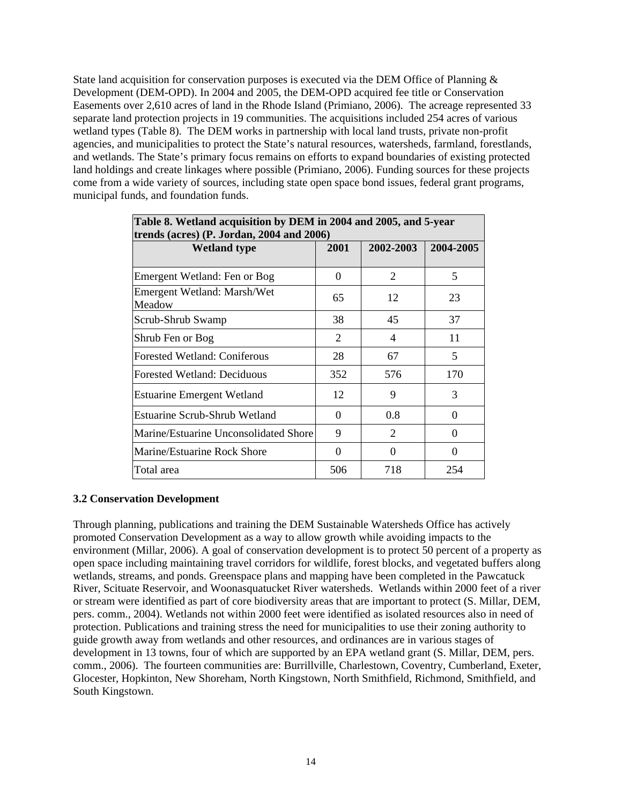State land acquisition for conservation purposes is executed via the DEM Office of Planning  $\&$ Development (DEM-OPD). In 2004 and 2005, the DEM-OPD acquired fee title or Conservation Easements over 2,610 acres of land in the Rhode Island (Primiano, 2006). The acreage represented 33 separate land protection projects in 19 communities. The acquisitions included 254 acres of various wetland types (Table 8). The DEM works in partnership with local land trusts, private non-profit agencies, and municipalities to protect the State's natural resources, watersheds, farmland, forestlands, and wetlands. The State's primary focus remains on efforts to expand boundaries of existing protected land holdings and create linkages where possible (Primiano, 2006). Funding sources for these projects come from a wide variety of sources, including state open space bond issues, federal grant programs, municipal funds, and foundation funds.

| Table 8. Wetland acquisition by DEM in 2004 and 2005, and 5-year<br>trends (acres) $(P. Jordan, 2004 and 2006)$ |          |           |           |  |
|-----------------------------------------------------------------------------------------------------------------|----------|-----------|-----------|--|
| <b>Wetland type</b>                                                                                             | 2001     | 2002-2003 | 2004-2005 |  |
| Emergent Wetland: Fen or Bog                                                                                    | $\Omega$ | 2         | 5         |  |
| Emergent Wetland: Marsh/Wet<br>Meadow                                                                           | 65       | 12        | 23        |  |
| Scrub-Shrub Swamp                                                                                               | 38       | 45        | 37        |  |
| Shrub Fen or Bog                                                                                                | 2        | 4         | 11        |  |
| <b>Forested Wetland: Coniferous</b>                                                                             | 28       | 67        | 5         |  |
| <b>Forested Wetland: Deciduous</b>                                                                              | 352      | 576       | 170       |  |
| <b>Estuarine Emergent Wetland</b>                                                                               | 12       | 9         | 3         |  |
| Estuarine Scrub-Shrub Wetland                                                                                   | 0        | 0.8       | $\Omega$  |  |
| Marine/Estuarine Unconsolidated Shore                                                                           | 9        | 2         | $\theta$  |  |
| Marine/Estuarine Rock Shore                                                                                     | 0        | 0         | 0         |  |
| Total area                                                                                                      | 506      | 718       | 254       |  |

#### **3.2 Conservation Development**

Through planning, publications and training the DEM Sustainable Watersheds Office has actively promoted Conservation Development as a way to allow growth while avoiding impacts to the environment (Millar, 2006). A goal of conservation development is to protect 50 percent of a property as open space including maintaining travel corridors for wildlife, forest blocks, and vegetated buffers along wetlands, streams, and ponds. Greenspace plans and mapping have been completed in the Pawcatuck River, Scituate Reservoir, and Woonasquatucket River watersheds. Wetlands within 2000 feet of a river or stream were identified as part of core biodiversity areas that are important to protect (S. Millar, DEM, pers. comm., 2004). Wetlands not within 2000 feet were identified as isolated resources also in need of protection. Publications and training stress the need for municipalities to use their zoning authority to guide growth away from wetlands and other resources, and ordinances are in various stages of development in 13 towns, four of which are supported by an EPA wetland grant (S. Millar, DEM, pers. comm., 2006). The fourteen communities are: Burrillville, Charlestown, Coventry, Cumberland, Exeter, Glocester, Hopkinton, New Shoreham, North Kingstown, North Smithfield, Richmond, Smithfield, and South Kingstown.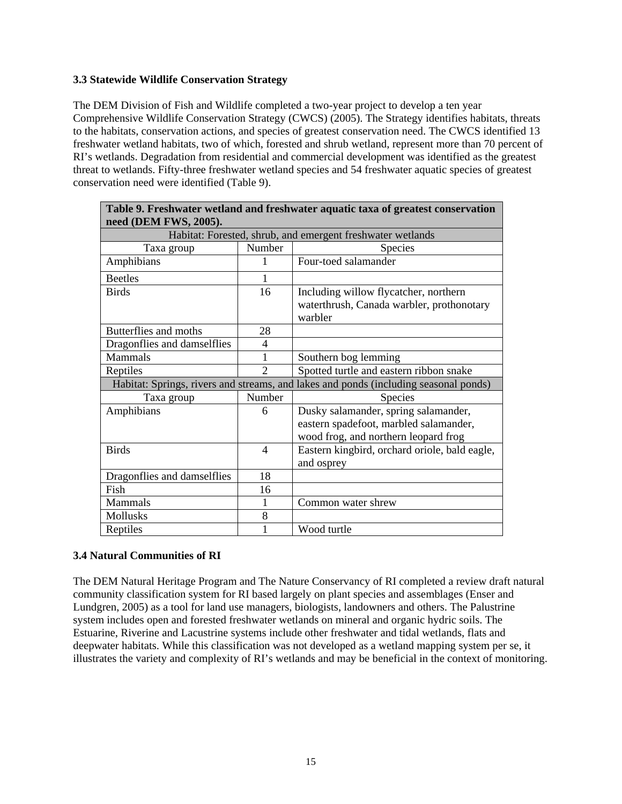## **3.3 Statewide Wildlife Conservation Strategy**

The DEM Division of Fish and Wildlife completed a two-year project to develop a ten year Comprehensive Wildlife Conservation Strategy (CWCS) (2005). The Strategy identifies habitats, threats to the habitats, conservation actions, and species of greatest conservation need. The CWCS identified 13 freshwater wetland habitats, two of which, forested and shrub wetland, represent more than 70 percent of RI's wetlands. Degradation from residential and commercial development was identified as the greatest threat to wetlands. Fifty-three freshwater wetland species and 54 freshwater aquatic species of greatest conservation need were identified (Table 9).

| need (DEM FWS, 2005).                                      |                |                                                                                                                        |  |  |
|------------------------------------------------------------|----------------|------------------------------------------------------------------------------------------------------------------------|--|--|
| Habitat: Forested, shrub, and emergent freshwater wetlands |                |                                                                                                                        |  |  |
| Taxa group                                                 | Number         | <b>Species</b>                                                                                                         |  |  |
| Amphibians                                                 | 1              | Four-toed salamander                                                                                                   |  |  |
| <b>Beetles</b>                                             |                |                                                                                                                        |  |  |
| <b>Birds</b>                                               | 16             | Including willow flycatcher, northern<br>waterthrush, Canada warbler, prothonotary<br>warbler                          |  |  |
| Butterflies and moths                                      | 28             |                                                                                                                        |  |  |
| Dragonflies and damselflies                                | 4              |                                                                                                                        |  |  |
| Mammals                                                    | 1              | Southern bog lemming                                                                                                   |  |  |
| Reptiles                                                   | $\overline{2}$ | Spotted turtle and eastern ribbon snake                                                                                |  |  |
|                                                            |                | Habitat: Springs, rivers and streams, and lakes and ponds (including seasonal ponds)                                   |  |  |
| Taxa group                                                 | Number         | Species                                                                                                                |  |  |
| Amphibians                                                 | 6              | Dusky salamander, spring salamander,<br>eastern spadefoot, marbled salamander,<br>wood frog, and northern leopard frog |  |  |
| <b>Birds</b>                                               | 4              | Eastern kingbird, orchard oriole, bald eagle,<br>and osprey                                                            |  |  |
| Dragonflies and damselflies                                | 18             |                                                                                                                        |  |  |
| Fish                                                       | 16             |                                                                                                                        |  |  |
| Mammals                                                    | 1              | Common water shrew                                                                                                     |  |  |
| <b>Mollusks</b>                                            | 8              |                                                                                                                        |  |  |
| Reptiles                                                   | 1              | Wood turtle                                                                                                            |  |  |

| Table 9. Freshwater wetland and freshwater aquatic taxa of greatest conservation |
|----------------------------------------------------------------------------------|
| need (DEM FWS, 2005).                                                            |

#### **3.4 Natural Communities of RI**

The DEM Natural Heritage Program and The Nature Conservancy of RI completed a review draft natural community classification system for RI based largely on plant species and assemblages (Enser and Lundgren, 2005) as a tool for land use managers, biologists, landowners and others. The Palustrine system includes open and forested freshwater wetlands on mineral and organic hydric soils. The Estuarine, Riverine and Lacustrine systems include other freshwater and tidal wetlands, flats and deepwater habitats. While this classification was not developed as a wetland mapping system per se, it illustrates the variety and complexity of RI's wetlands and may be beneficial in the context of monitoring.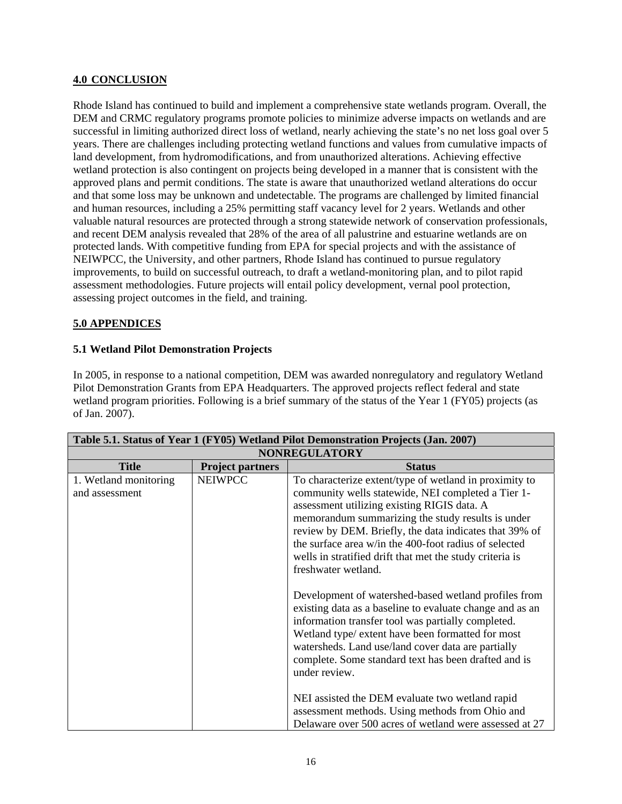## **4.0 CONCLUSION**

Rhode Island has continued to build and implement a comprehensive state wetlands program. Overall, the DEM and CRMC regulatory programs promote policies to minimize adverse impacts on wetlands and are successful in limiting authorized direct loss of wetland, nearly achieving the state's no net loss goal over 5 years. There are challenges including protecting wetland functions and values from cumulative impacts of land development, from hydromodifications, and from unauthorized alterations. Achieving effective wetland protection is also contingent on projects being developed in a manner that is consistent with the approved plans and permit conditions. The state is aware that unauthorized wetland alterations do occur and that some loss may be unknown and undetectable. The programs are challenged by limited financial and human resources, including a 25% permitting staff vacancy level for 2 years. Wetlands and other valuable natural resources are protected through a strong statewide network of conservation professionals, and recent DEM analysis revealed that 28% of the area of all palustrine and estuarine wetlands are on protected lands. With competitive funding from EPA for special projects and with the assistance of NEIWPCC, the University, and other partners, Rhode Island has continued to pursue regulatory improvements, to build on successful outreach, to draft a wetland-monitoring plan, and to pilot rapid assessment methodologies. Future projects will entail policy development, vernal pool protection, assessing project outcomes in the field, and training.

# **5.0 APPENDICES**

## **5.1 Wetland Pilot Demonstration Projects**

In 2005, in response to a national competition, DEM was awarded nonregulatory and regulatory Wetland Pilot Demonstration Grants from EPA Headquarters. The approved projects reflect federal and state wetland program priorities. Following is a brief summary of the status of the Year 1 (FY05) projects (as of Jan. 2007).

| Table 5.1. Status of Year 1 (FY05) Wetland Pilot Demonstration Projects (Jan. 2007) |                                                                                                                                                                                                                                                                                                                                                                                                                                                                                                                                                                                                                                                                                                                                                                                      |  |  |
|-------------------------------------------------------------------------------------|--------------------------------------------------------------------------------------------------------------------------------------------------------------------------------------------------------------------------------------------------------------------------------------------------------------------------------------------------------------------------------------------------------------------------------------------------------------------------------------------------------------------------------------------------------------------------------------------------------------------------------------------------------------------------------------------------------------------------------------------------------------------------------------|--|--|
| <b>NONREGULATORY</b>                                                                |                                                                                                                                                                                                                                                                                                                                                                                                                                                                                                                                                                                                                                                                                                                                                                                      |  |  |
| <b>Project partners</b>                                                             | <b>Status</b>                                                                                                                                                                                                                                                                                                                                                                                                                                                                                                                                                                                                                                                                                                                                                                        |  |  |
| <b>NEIWPCC</b>                                                                      | To characterize extent/type of wetland in proximity to<br>community wells statewide, NEI completed a Tier 1-<br>assessment utilizing existing RIGIS data. A<br>memorandum summarizing the study results is under<br>review by DEM. Briefly, the data indicates that 39% of<br>the surface area w/in the 400-foot radius of selected<br>wells in stratified drift that met the study criteria is<br>freshwater wetland.<br>Development of watershed-based wetland profiles from<br>existing data as a baseline to evaluate change and as an<br>information transfer tool was partially completed.<br>Wetland type/ extent have been formatted for most<br>watersheds. Land use/land cover data are partially<br>complete. Some standard text has been drafted and is<br>under review. |  |  |
|                                                                                     | NEI assisted the DEM evaluate two wetland rapid<br>assessment methods. Using methods from Ohio and<br>Delaware over 500 acres of wetland were assessed at 27                                                                                                                                                                                                                                                                                                                                                                                                                                                                                                                                                                                                                         |  |  |
|                                                                                     |                                                                                                                                                                                                                                                                                                                                                                                                                                                                                                                                                                                                                                                                                                                                                                                      |  |  |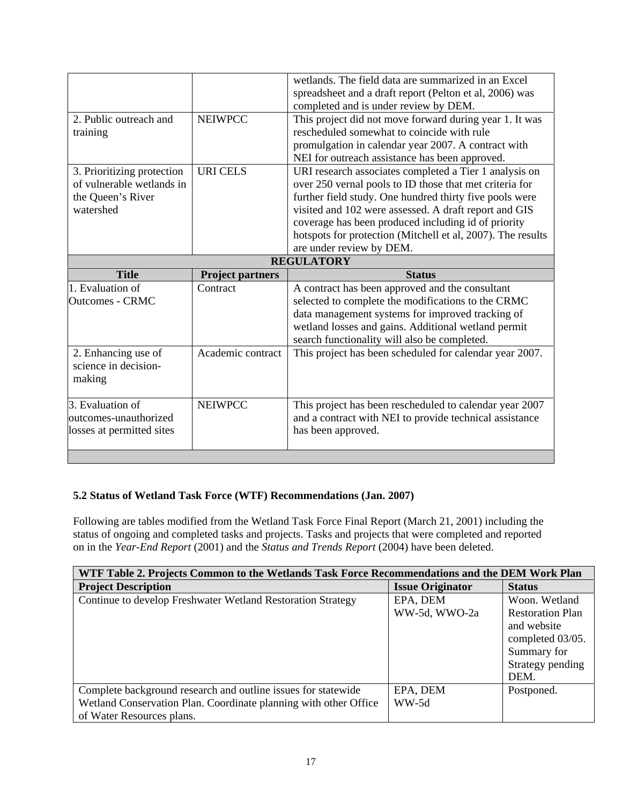|                            |                         | wetlands. The field data are summarized in an Excel<br>spreadsheet and a draft report (Pelton et al, 2006) was |  |
|----------------------------|-------------------------|----------------------------------------------------------------------------------------------------------------|--|
|                            |                         | completed and is under review by DEM.                                                                          |  |
| 2. Public outreach and     | <b>NEIWPCC</b>          | This project did not move forward during year 1. It was                                                        |  |
| training                   |                         | rescheduled somewhat to coincide with rule                                                                     |  |
|                            |                         | promulgation in calendar year 2007. A contract with                                                            |  |
|                            |                         | NEI for outreach assistance has been approved.                                                                 |  |
| 3. Prioritizing protection | <b>URI CELS</b>         | URI research associates completed a Tier 1 analysis on                                                         |  |
| of vulnerable wetlands in  |                         | over 250 vernal pools to ID those that met criteria for                                                        |  |
| the Queen's River          |                         | further field study. One hundred thirty five pools were                                                        |  |
| watershed                  |                         | visited and 102 were assessed. A draft report and GIS                                                          |  |
|                            |                         | coverage has been produced including id of priority                                                            |  |
|                            |                         | hotspots for protection (Mitchell et al, 2007). The results                                                    |  |
|                            |                         | are under review by DEM.                                                                                       |  |
| <b>REGULATORY</b>          |                         |                                                                                                                |  |
|                            |                         |                                                                                                                |  |
| <b>Title</b>               | <b>Project partners</b> | <b>Status</b>                                                                                                  |  |
| 1. Evaluation of           | Contract                | A contract has been approved and the consultant                                                                |  |
| <b>Outcomes - CRMC</b>     |                         | selected to complete the modifications to the CRMC                                                             |  |
|                            |                         | data management systems for improved tracking of                                                               |  |
|                            |                         | wetland losses and gains. Additional wetland permit                                                            |  |
|                            |                         | search functionality will also be completed.                                                                   |  |
| 2. Enhancing use of        | Academic contract       | This project has been scheduled for calendar year 2007.                                                        |  |
| science in decision-       |                         |                                                                                                                |  |
| making                     |                         |                                                                                                                |  |
|                            |                         |                                                                                                                |  |
| 3. Evaluation of           | <b>NEIWPCC</b>          | This project has been rescheduled to calendar year 2007                                                        |  |
| outcomes-unauthorized      |                         | and a contract with NEI to provide technical assistance                                                        |  |
| losses at permitted sites  |                         | has been approved.                                                                                             |  |
|                            |                         |                                                                                                                |  |

# **5.2 Status of Wetland Task Force (WTF) Recommendations (Jan. 2007)**

Following are tables modified from the Wetland Task Force Final Report (March 21, 2001) including the status of ongoing and completed tasks and projects. Tasks and projects that were completed and reported on in the *Year-End Report* (2001) and the *Status and Trends Report* (2004) have been deleted.

| WTF Table 2. Projects Common to the Wetlands Task Force Recommendations and the DEM Work Plan |                         |                         |  |
|-----------------------------------------------------------------------------------------------|-------------------------|-------------------------|--|
| <b>Project Description</b>                                                                    | <b>Issue Originator</b> | <b>Status</b>           |  |
| Continue to develop Freshwater Wetland Restoration Strategy                                   | EPA, DEM                | Woon. Wetland           |  |
|                                                                                               | WW-5d, WWO-2a           | <b>Restoration Plan</b> |  |
|                                                                                               |                         | and website             |  |
|                                                                                               |                         | completed 03/05.        |  |
|                                                                                               |                         | Summary for             |  |
|                                                                                               |                         | Strategy pending        |  |
|                                                                                               |                         | DEM.                    |  |
| Complete background research and outline issues for statewide                                 | EPA, DEM                | Postponed.              |  |
| Wetland Conservation Plan. Coordinate planning with other Office                              | WW-5d                   |                         |  |
| of Water Resources plans.                                                                     |                         |                         |  |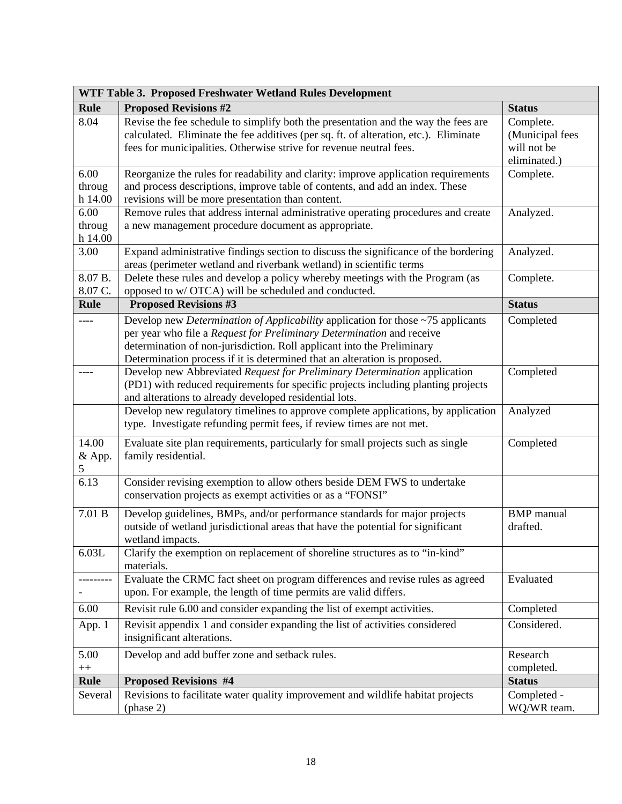| WTF Table 3. Proposed Freshwater Wetland Rules Development |                                                                                                                                                                                                                                                                                                                        |                                                             |  |
|------------------------------------------------------------|------------------------------------------------------------------------------------------------------------------------------------------------------------------------------------------------------------------------------------------------------------------------------------------------------------------------|-------------------------------------------------------------|--|
| <b>Rule</b>                                                | <b>Proposed Revisions #2</b>                                                                                                                                                                                                                                                                                           | <b>Status</b>                                               |  |
| 8.04                                                       | Revise the fee schedule to simplify both the presentation and the way the fees are<br>calculated. Eliminate the fee additives (per sq. ft. of alteration, etc.). Eliminate<br>fees for municipalities. Otherwise strive for revenue neutral fees.                                                                      | Complete.<br>(Municipal fees<br>will not be<br>eliminated.) |  |
| 6.00<br>throug<br>h 14.00                                  | Reorganize the rules for readability and clarity: improve application requirements<br>and process descriptions, improve table of contents, and add an index. These<br>revisions will be more presentation than content.                                                                                                | Complete.                                                   |  |
| 6.00<br>throug<br>h 14.00                                  | Remove rules that address internal administrative operating procedures and create<br>a new management procedure document as appropriate.                                                                                                                                                                               | Analyzed.                                                   |  |
| 3.00                                                       | Expand administrative findings section to discuss the significance of the bordering<br>areas (perimeter wetland and riverbank wetland) in scientific terms                                                                                                                                                             | Analyzed.                                                   |  |
| 8.07 B.<br>8.07 C.                                         | Delete these rules and develop a policy whereby meetings with the Program (as<br>opposed to w/ OTCA) will be scheduled and conducted.                                                                                                                                                                                  | Complete.                                                   |  |
| <b>Rule</b>                                                | <b>Proposed Revisions #3</b>                                                                                                                                                                                                                                                                                           | <b>Status</b>                                               |  |
| ----                                                       | Develop new <i>Determination of Applicability</i> application for those ~75 applicants<br>per year who file a Request for Preliminary Determination and receive<br>determination of non-jurisdiction. Roll applicant into the Preliminary<br>Determination process if it is determined that an alteration is proposed. | Completed                                                   |  |
| ----                                                       | Develop new Abbreviated Request for Preliminary Determination application<br>(PD1) with reduced requirements for specific projects including planting projects<br>and alterations to already developed residential lots.                                                                                               | Completed                                                   |  |
|                                                            | Develop new regulatory timelines to approve complete applications, by application<br>type. Investigate refunding permit fees, if review times are not met.                                                                                                                                                             | Analyzed                                                    |  |
| 14.00<br>& App.<br>$\mathfrak s$                           | Evaluate site plan requirements, particularly for small projects such as single<br>family residential.                                                                                                                                                                                                                 | Completed                                                   |  |
| 6.13                                                       | Consider revising exemption to allow others beside DEM FWS to undertake<br>conservation projects as exempt activities or as a "FONSI"                                                                                                                                                                                  |                                                             |  |
| 7.01 B                                                     | Develop guidelines, BMPs, and/or performance standards for major projects<br>outside of wetland jurisdictional areas that have the potential for significant<br>wetland impacts.                                                                                                                                       | <b>BMP</b> manual<br>drafted.                               |  |
| 6.03L                                                      | Clarify the exemption on replacement of shoreline structures as to "in-kind"<br>materials.                                                                                                                                                                                                                             |                                                             |  |
|                                                            | Evaluate the CRMC fact sheet on program differences and revise rules as agreed<br>upon. For example, the length of time permits are valid differs.                                                                                                                                                                     | Evaluated                                                   |  |
| 6.00                                                       | Revisit rule 6.00 and consider expanding the list of exempt activities.                                                                                                                                                                                                                                                | Completed                                                   |  |
| App. 1                                                     | Revisit appendix 1 and consider expanding the list of activities considered<br>insignificant alterations.                                                                                                                                                                                                              | Considered.                                                 |  |
| 5.00<br>$^{++}\,$                                          | Develop and add buffer zone and setback rules.                                                                                                                                                                                                                                                                         | Research<br>completed.                                      |  |
| <b>Rule</b>                                                | <b>Proposed Revisions #4</b>                                                                                                                                                                                                                                                                                           | <b>Status</b>                                               |  |
| Several                                                    | Revisions to facilitate water quality improvement and wildlife habitat projects<br>(phase 2)                                                                                                                                                                                                                           | Completed -<br>WQ/WR team.                                  |  |